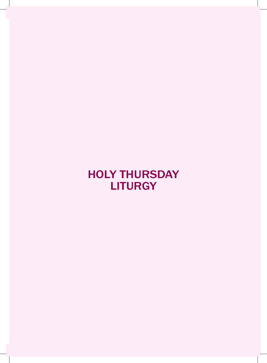# holY thuRsDaY **LITURGY**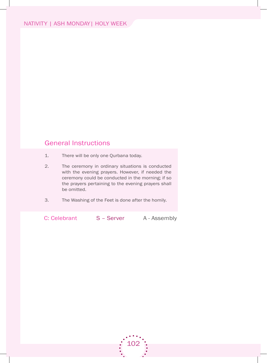# General Instructions

- 1. There will be only one Qurbana today.
- 2. The ceremony in ordinary situations is conducted with the evening prayers. however, if needed the ceremony could be conducted in the morning; if so the prayers pertaining to the evening prayers shall be omitted.
- 3. The Washing of the Feet is done after the homily.

C: Celebrant S – Server A - Assembly

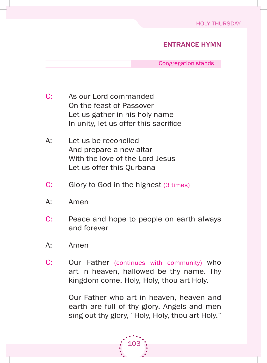# entRance hYMn

Congregation stands

- C: As our Lord commanded on the feast of Passover Let us gather in his holy name In unity, let us offer this sacrifice
- A: Let us be reconciled and prepare a new altar With the love of the lord Jesus Let us offer this Ourbana
- C: Glory to God in the highest (3 times)
- a: amen
- C: Peace and hope to people on earth always and forever
- a: amen
- C: Our Father (continues with community) who art in heaven, hallowed be thy name. Thy kingdom come. Holy, Holy, thou art Holy.

Our Father who art in heaven, heaven and earth are full of thy glory. Angels and men sing out thy glory, "Holy, Holy, thou art Holy."

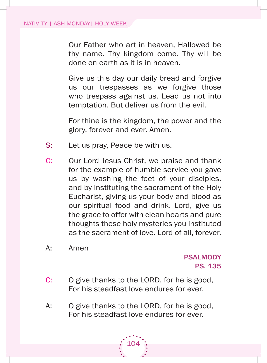Our Father who art in heaven, Hallowed be thy name. Thy kingdom come. Thy will be done on earth as it is in heaven.

Give us this day our daily bread and forgive us our trespasses as we forgive those who trespass against us. Lead us not into temptation. but deliver us from the evil.

 for thine is the kingdom, the power and the glory, forever and ever. Amen.

- S: Let us pray, Peace be with us.
- C: Our Lord Jesus Christ, we praise and thank for the example of humble service you gave us by washing the feet of your disciples, and by instituting the sacrament of the holy Eucharist, giving us your body and blood as our spiritual food and drink. lord, give us the grace to offer with clean hearts and pure thoughts these holy mysteries you instituted as the sacrament of love. lord of all, forever.
- a: amen

# **PSALMODY** ps. 135

- C: O give thanks to the LORD, for he is good, for his steadfast love endures for ever.
- A: O give thanks to the LORD, for he is good, for his steadfast love endures for ever.

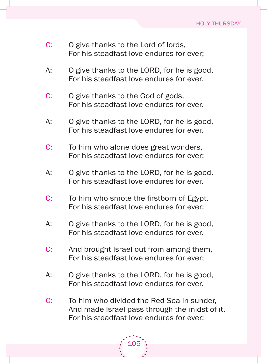- C: O give thanks to the Lord of lords, for his steadfast love endures for ever;
- A: O give thanks to the LORD, for he is good, for his steadfast love endures for ever.
- C: O give thanks to the God of gods, for his steadfast love endures for ever.
- A: O give thanks to the LORD, for he is good, for his steadfast love endures for ever.
- C: To him who alone does great wonders, for his steadfast love endures for ever;
- A: O give thanks to the LORD, for he is good, for his steadfast love endures for ever.
- C: To him who smote the firstborn of Egypt, for his steadfast love endures for ever;
- A: O give thanks to the LORD, for he is good, for his steadfast love endures for ever.
- C: And brought Israel out from among them, for his steadfast love endures for ever;
- A: O give thanks to the LORD, for he is good, for his steadfast love endures for ever.
- C: To him who divided the Red Sea in sunder, And made Israel pass through the midst of it, for his steadfast love endures for ever;

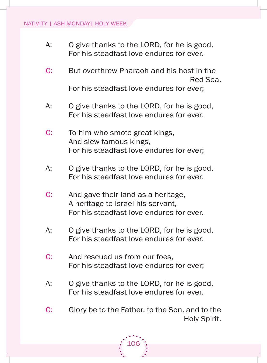- A: O give thanks to the LORD, for he is good, for his steadfast love endures for ever.
- C: But overthrew Pharaoh and his host in the Red Sea,

for his steadfast love endures for ever;

- A: O give thanks to the LORD, for he is good, for his steadfast love endures for ever.
- C: To him who smote great kings, and slew famous kings, for his steadfast love endures for ever;
- A: O give thanks to the LORD, for he is good, for his steadfast love endures for ever.
- C: And gave their land as a heritage, A heritage to Israel his servant, for his steadfast love endures for ever.
- A: O give thanks to the LORD, for he is good, for his steadfast love endures for ever.
- C: And rescued us from our foes, for his steadfast love endures for ever;
- A: O give thanks to the LORD, for he is good, for his steadfast love endures for ever.
- C: Glory be to the Father, to the Son, and to the **Holy Spirit.**

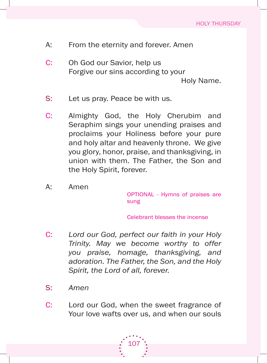- A: From the eternity and forever. Amen
- C: Oh God our Savior, help us forgive our sins according to your holy Name.
- S: Let us pray. Peace be with us.
- C: almighty god, the holy Cherubim and seraphim sings your unending praises and proclaims your holiness before your pure and holy altar and heavenly throne. We give you glory, honor, praise, and thanksgiving, in union with them. The Father, the Son and the Holy Spirit, forever.
- a: amen

OPTIONAL - Hymns of praises are sung

Celebrant blesses the incense

- C: *Lord our God, perfect our faith in your Holy Trinity. May we become worthy to offer you praise, homage, thanksgiving, and adoration. The Father, the Son, and the Holy Spirit, the Lord of all, forever.*
- s: *Amen*
- C: Lord our God, when the sweet fragrance of Your love wafts over us, and when our souls

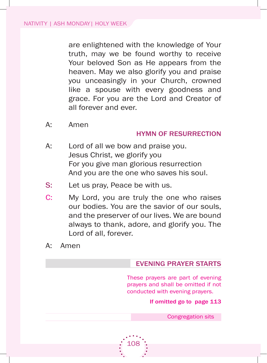are enlightened with the knowledge of your truth, may we be found worthy to receive Your beloved Son as He appears from the heaven. May we also glorify you and praise you unceasingly in your Church, crowned like a spouse with every goodness and grace. for you are the lord and Creator of all forever and ever.

A: Amen

#### hYMn oF ResuRRection

- A: Lord of all we bow and praise you. Jesus Christ, we glorify you for you give man glorious resurrection and you are the one who saves his soul.
- S: Let us pray, Peace be with us.
- C: My Lord, you are truly the one who raises our bodies. you are the savior of our souls, and the preserver of our lives. We are bound always to thank, adore, and glorify you. The Lord of all, forever.

108

a: amen

#### eVeninG pRaYeR staRts

These prayers are part of evening prayers and shall be omitted if not conducted with evening prayers.

If omitted go to page 113

Congregation sits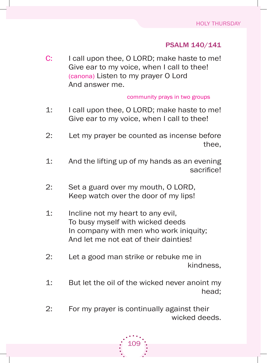# psalM 140/141

C: I call upon thee, O LORD; make haste to me! Give ear to my voice, when I call to thee! (canona) Listen to my prayer O Lord And answer me.

#### community prays in two groups

- 1: I call upon thee, O LORD; make haste to me! Give ear to my voice, when I call to thee!
- 2: let my prayer be counted as incense before thee,
- 1: And the lifting up of my hands as an evening sacrifice!
- 2: Set a guard over my mouth, O LORD, Keep watch over the door of my lips!
- 1: Incline not my heart to any evil, To busy myself with wicked deeds In company with men who work iniquity; and let me not eat of their dainties!
- 2: let a good man strike or rebuke me in kindness,
- 1: but let the oil of the wicked never anoint my head;
- 2: for my prayer is continually against their wicked deeds.

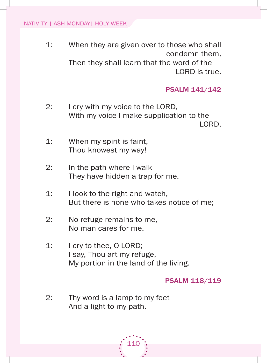1: When they are given over to those who shall condemn them, Then they shall learn that the word of the

LORD is true.

#### psalM 141/142

- 2: I cry with my voice to the LORD, With my voice I make supplication to the LORD,
- 1: When my spirit is faint, Thou knowest my way!
- 2: In the path where I walk They have hidden a trap for me.
- 1: I look to the right and watch, But there is none who takes notice of me;
- 2: No refuge remains to me, No man cares for me.
- 1: I cry to thee, O LORD; I say, Thou art my refuge, My portion in the land of the living.

psalM 118/119

2: Thy word is a lamp to my feet And a light to my path.

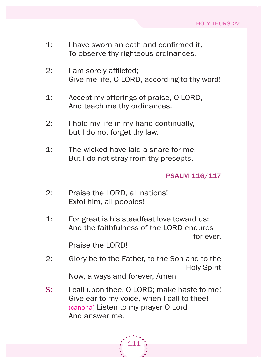- 1: I have sworn an oath and confirmed it, To observe thy righteous ordinances.
- 2: I am sorely afflicted; Give me life, O LORD, according to thy word!
- 1: Accept my offerings of praise, O LORD, And teach me thy ordinances.
- 2: I hold my life in my hand continually, but I do not forget thy law.
- 1: The wicked have laid a snare for me. But I do not stray from thy precepts.

#### psalM 116/117

- 2: Praise the LORD, all nations! Extol him, all peoples!
- 1: for great is his steadfast love toward us; And the faithfulness of the LORD endures for ever.

Praise the LORD!

- 2: Glory be to the Father, to the Son and to the **Holy Spirit** Now, always and forever, amen
- S: I call upon thee, O LORD; make haste to me! Give ear to my voice, when I call to thee! (canona) Listen to my prayer O Lord And answer me.

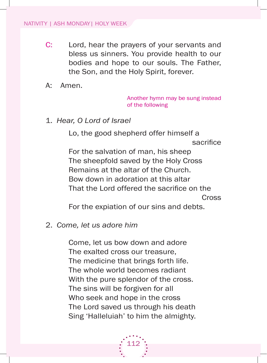- C: Lord, hear the prayers of your servants and bless us sinners. you provide health to our bodies and hope to our souls. The Father, the Son, and the Holy Spirit, forever.
- a: amen.

another hymn may be sung instead of the following

1. *Hear, O Lord of Israel*

Lo, the good shepherd offer himself a sacrifice for the salvation of man, his sheep The sheepfold saved by the Holy Cross Remains at the altar of the Church. bow down in adoration at this altar That the Lord offered the sacrifice on the **Cross** 

for the expiation of our sins and debts.

2. *Come, let us adore him*

 Come, let us bow down and adore The exalted cross our treasure, The medicine that brings forth life. The whole world becomes radiant With the pure splendor of the cross. The sins will be forgiven for all Who seek and hope in the cross The Lord saved us through his death Sing 'Halleluiah' to him the almighty.

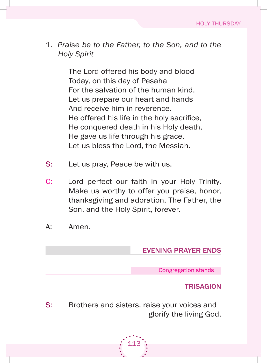1. *Praise be to the Father, to the Son, and to the Holy Spirit*

> The Lord offered his body and blood Today, on this day of Pesaha for the salvation of the human kind. Let us prepare our heart and hands And receive him in reverence. He offered his life in the holy sacrifice, He conquered death in his Holy death, he gave us life through his grace. Let us bless the Lord, the Messiah.

- S: Let us pray, Peace be with us.
- C: Lord perfect our faith in your Holy Trinity. Make us worthy to offer you praise, honor, thanksgiving and adoration. the father, the Son, and the Holy Spirit, forever.
- A: Amen.

# eVeninG pRaYeR enDs

Congregation stands

#### **TRISAGION**

S: Brothers and sisters, raise your voices and glorify the living god.

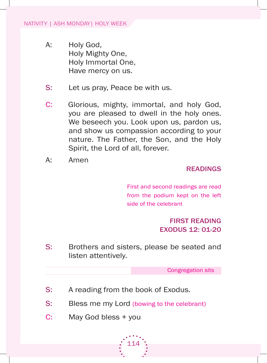- A: Holy God, holy mighty one, holy immortal one, Have mercy on us.
- S: Let us pray, Peace be with us.
- C: Glorious, mighty, immortal, and holy God, you are pleased to dwell in the holy ones. We beseech you. Look upon us, pardon us, and show us compassion according to your nature. The Father, the Son, and the Holy spirit, the lord of all, forever.
- a: amen

#### **READINGS**

first and second readings are read from the podium kept on the left side of the celebrant

# FiRst ReaDinG exoDus 12: 01-20

S: Brothers and sisters, please be seated and listen attentively.

Congregation sits

- S: A reading from the book of Exodus.
- S: Bless me my Lord (bowing to the celebrant)

114

C: May God bless + you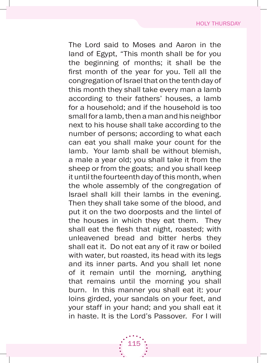The Lord said to Moses and Aaron in the land of Egypt, "This month shall be for you the beginning of months; it shall be the first month of the year for you. Tell all the congregation of israel that on the tenth day of this month they shall take every man a lamb according to their fathers' houses, a lamb for a household; and if the household is too small for a lamb, then a man and his neighbor next to his house shall take according to the number of persons; according to what each can eat you shall make your count for the lamb. your lamb shall be without blemish, a male a year old; you shall take it from the sheep or from the goats; and you shall keep it until the fourteenth day of this month, when the whole assembly of the congregation of israel shall kill their lambs in the evening. Then they shall take some of the blood, and put it on the two doorposts and the lintel of the houses in which they eat them. They shall eat the flesh that night, roasted; with unleavened bread and bitter herbs they shall eat it. Do not eat any of it raw or boiled with water, but roasted, its head with its legs and its inner parts. And you shall let none of it remain until the morning, anything that remains until the morning you shall burn. in this manner you shall eat it: your loins girded, your sandals on your feet, and your staff in your hand; and you shall eat it in haste. It is the Lord's Passover. For I will

115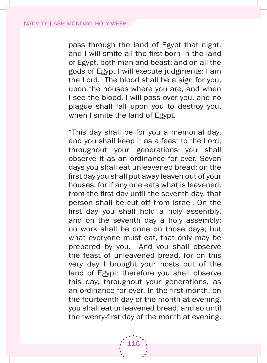pass through the land of Egypt that night, and I will smite all the first-born in the land of egypt, both man and beast; and on all the gods of Egypt I will execute judgments: I am the Lord. The blood shall be a sign for you, upon the houses where you are; and when I see the blood, I will pass over you, and no plague shall fall upon you to destroy you, when I smite the land of Egypt.

"this day shall be for you a memorial day, and you shall keep it as a feast to the lord; throughout your generations you shall observe it as an ordinance for ever. Seven days you shall eat unleavened bread; on the first day you shall put away leaven out of your houses, for if any one eats what is leavened, from the first day until the seventh day, that person shall be cut off from israel. on the first day you shall hold a holy assembly, and on the seventh day a holy assembly; no work shall be done on those days; but what everyone must eat, that only may be prepared by you. And you shall observe the feast of unleavened bread, for on this very day i brought your hosts out of the land of Egypt: therefore you shall observe this day, throughout your generations, as an ordinance for ever. In the first month, on the fourteenth day of the month at evening, you shall eat unleavened bread, and so until the twenty-first day of the month at evening.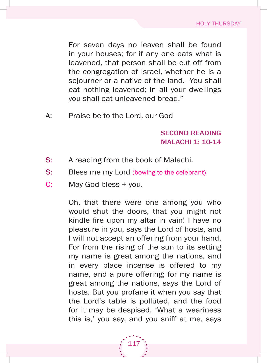for seven days no leaven shall be found in your houses; for if any one eats what is leavened, that person shall be cut off from the congregation of israel, whether he is a sojourner or a native of the land. You shall eat nothing leavened; in all your dwellings you shall eat unleavened bread."

A: Praise be to the Lord, our God

# seconD ReaDinG Malachi 1: 10-14

- S: A reading from the book of Malachi.
- S: Bless me my Lord (bowing to the celebrant)
- C: May God bless + you.

oh, that there were one among you who would shut the doors, that you might not kindle fire upon my altar in vain! I have no pleasure in you, says the lord of hosts, and I will not accept an offering from your hand. for from the rising of the sun to its setting my name is great among the nations, and in every place incense is offered to my name, and a pure offering; for my name is great among the nations, says the lord of hosts. But you profane it when you say that the lord's table is polluted, and the food for it may be despised. 'What a weariness this is,' you say, and you sniff at me, says

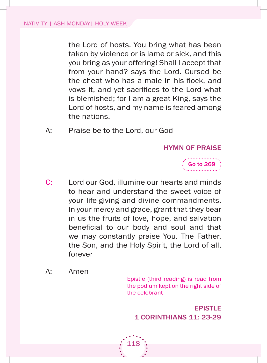the lord of hosts. you bring what has been taken by violence or is lame or sick, and this you bring as your offering! Shall I accept that from your hand? says the lord. Cursed be the cheat who has a male in his flock, and vows it, and yet sacrifices to the Lord what is blemished; for I am a great King, says the Lord of hosts, and my name is feared among the nations.

A: Praise be to the Lord, our God

# hYMn oF pRaise



- C: Lord our God, illumine our hearts and minds to hear and understand the sweet voice of your life-giving and divine commandments. in your mercy and grace, grant that they bear in us the fruits of love, hope, and salvation beneficial to our body and soul and that we may constantly praise You. The Father, the son, and the holy spirit, the lord of all, forever
- a: amen

Epistle (third reading) is read from the podium kept on the right side of the celebrant

**EPISTLE** 1 coRinthians 11: 23-29

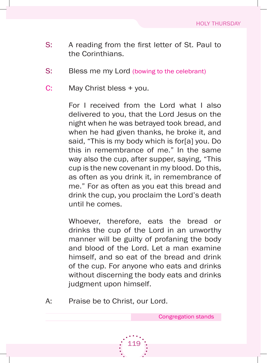- s: A reading from the first letter of St. Paul to the Corinthians.
- S: Bless me my Lord (bowing to the celebrant)
- C: May Christ bless + you.

For I received from the Lord what I also delivered to you, that the lord Jesus on the night when he was betrayed took bread, and when he had given thanks, he broke it, and said, "This is my body which is for[a] you. Do this in remembrance of me." in the same way also the cup, after supper, saying, "This cup is the new covenant in my blood. Do this, as often as you drink it, in remembrance of me." for as often as you eat this bread and drink the cup, you proclaim the lord's death until he comes.

Whoever, therefore, eats the bread or drinks the cup of the lord in an unworthy manner will be guilty of profaning the body and blood of the lord. let a man examine himself, and so eat of the bread and drink of the cup. for anyone who eats and drinks without discerning the body eats and drinks judgment upon himself.

119

A: Praise be to Christ, our Lord.

Congregation stands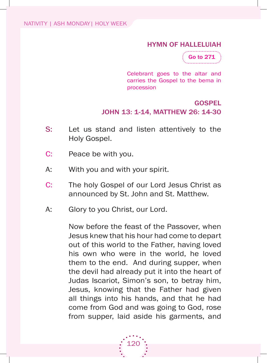#### hYMn oF halleluiah



Celebrant goes to the altar and carries the gospel to the bema in procession

# Gospel JOHn 13: 1-14, MATTHew 26: 14-30

- S: Let us stand and listen attentively to the Holy Gospel.
- C: Peace be with you.
- A: With you and with your spirit.
- C: The holy Gospel of our Lord Jesus Christ as announced by St. John and St. Matthew.
- A: Glory to you Christ, our Lord.

Now before the feast of the Passover, when Jesus knew that his hour had come to depart out of this world to the father, having loved his own who were in the world, he loved them to the end. And during supper, when the devil had already put it into the heart of Judas iscariot, simon's son, to betray him, Jesus, knowing that the father had given all things into his hands, and that he had come from God and was going to God, rose from supper, laid aside his garments, and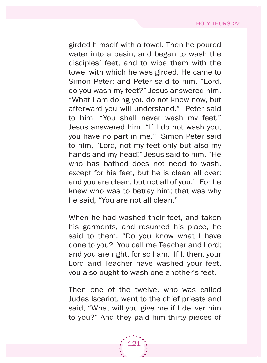girded himself with a towel. Then he poured water into a basin, and began to wash the disciples' feet, and to wipe them with the towel with which he was girded. he came to simon Peter; and Peter said to him, "lord, do you wash my feet?" Jesus answered him, "What I am doing you do not know now, but afterward you will understand." Peter said to him, "You shall never wash my feet." Jesus answered him, "If I do not wash you, you have no part in me." Simon Peter said to him, "lord, not my feet only but also my hands and my head!" Jesus said to him, "he who has bathed does not need to wash, except for his feet, but he is clean all over; and you are clean, but not all of you." for he knew who was to betray him; that was why he said, "you are not all clean."

When he had washed their feet, and taken his garments, and resumed his place, he said to them, "Do you know what I have done to you? You call me Teacher and Lord; and you are right, for so I am. If I, then, your Lord and Teacher have washed your feet, you also ought to wash one another's feet.

Then one of the twelve, who was called Judas iscariot, went to the chief priests and said, "What will you give me if I deliver him to you?" And they paid him thirty pieces of

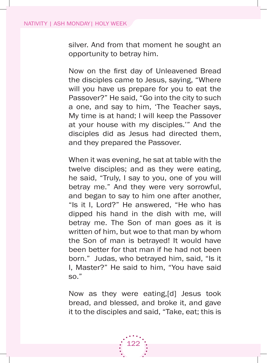silver. And from that moment he sought an opportunity to betray him.

Now on the first day of Unleavened Bread the disciples came to Jesus, saying, "Where will you have us prepare for you to eat the Passover?" He said, "Go into the city to such a one, and say to him, 'The Teacher says, My time is at hand; I will keep the Passover at your house with my disciples." And the disciples did as Jesus had directed them, and they prepared the Passover.

When it was evening, he sat at table with the twelve disciples; and as they were eating, he said, "Truly, I say to you, one of you will betray me." And they were very sorrowful, and began to say to him one after another, "Is it I, Lord?" He answered, "He who has dipped his hand in the dish with me, will betray me. The Son of man goes as it is written of him, but woe to that man by whom the Son of man is betrayed! It would have been better for that man if he had not been born." Judas, who betrayed him, said, "Is it I, Master?" He said to him, "You have said so."

Now as they were eating,[d] Jesus took bread, and blessed, and broke it, and gave it to the disciples and said, "Take, eat; this is

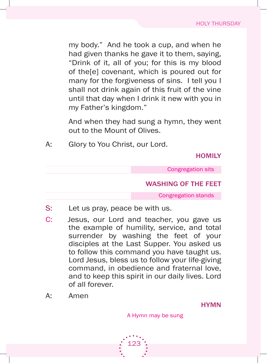my body." And he took a cup, and when he had given thanks he gave it to them, saying, "Drink of it, all of you; for this is my blood of the[e] covenant, which is poured out for many for the forgiveness of sins. I tell you I shall not drink again of this fruit of the vine until that day when I drink it new with you in my father's kingdom."

and when they had sung a hymn, they went out to the Mount of Olives.

A: Glory to You Christ, our Lord.

**HOMILY** 

Congregation sits

#### washinG oF the Feet

Congregation stands

- S: Let us pray, peace be with us.
- C: Jesus, our lord and teacher, you gave us the example of humility, service, and total surrender by washing the feet of your disciples at the Last Supper. You asked us to follow this command you have taught us. Lord Jesus, bless us to follow your life-giving command, in obedience and fraternal love, and to keep this spirit in our daily lives. lord of all forever.
- a: amen

**HYMN** 

A Hymn may be sung

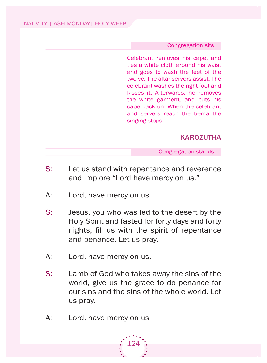#### Congregation sits

Celebrant removes his cape, and ties a white cloth around his waist and goes to wash the feet of the twelve. The altar servers assist. The celebrant washes the right foot and kisses it. afterwards, he removes the white garment, and puts his cape back on. When the celebrant and servers reach the bema the singing stops.

#### **KAROZUTHA**

Congregation stands

- S: Let us stand with repentance and reverence and implore "Lord have mercy on us."
- A: Lord, have mercy on us.
- s: Jesus, you who was led to the desert by the holy spirit and fasted for forty days and forty nights, fill us with the spirit of repentance and penance. let us pray.
- A: Lord, have mercy on us.
- s: lamb of god who takes away the sins of the world, give us the grace to do penance for our sins and the sins of the whole world. let us pray.
- A: Lord, have mercy on us

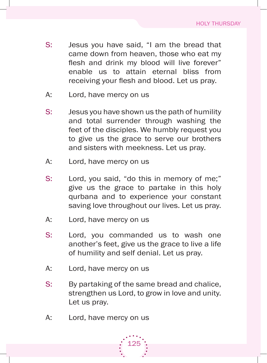- S: Jesus you have said, "I am the bread that came down from heaven, those who eat my flesh and drink my blood will live forever" enable us to attain eternal bliss from receiving your flesh and blood. Let us pray.
- A: Lord, have mercy on us
- s: Jesus you have shown us the path of humility and total surrender through washing the feet of the disciples. We humbly request you to give us the grace to serve our brothers and sisters with meekness. let us pray.
- A: Lord, have mercy on us
- s: lord, you said, "do this in memory of me;" give us the grace to partake in this holy qurbana and to experience your constant saving love throughout our lives. Let us pray.
- A: Lord, have mercy on us
- s: lord, you commanded us to wash one another's feet, give us the grace to live a life of humility and self denial. let us pray.
- A: Lord, have mercy on us
- S: By partaking of the same bread and chalice, strengthen us lord, to grow in love and unity. Let us pray.
- A: Lord, have mercy on us

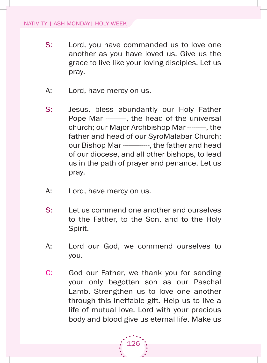- S: Lord, you have commanded us to love one another as you have loved us. give us the grace to live like your loving disciples. let us pray.
- A: Lord, have mercy on us.
- s: Jesus, bless abundantly our holy father Pope Mar ---------, the head of the universal church; our Major Archbishop Mar --------, the father and head of our SyroMalabar Church; our Bishop Mar ------------, the father and head of our diocese, and all other bishops, to lead us in the path of prayer and penance. let us pray.
- A: Lord, have mercy on us.
- s: let us commend one another and ourselves to the father, to the son, and to the holy spirit.
- A: Lord our God, we commend ourselves to you.
- C: God our Father, we thank you for sending your only begotten son as our Paschal Lamb. Strengthen us to love one another through this ineffable gift. help us to live a life of mutual love. lord with your precious body and blood give us eternal life. make us

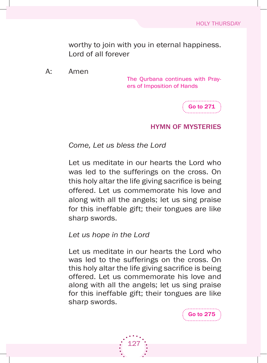worthy to join with you in eternal happiness. Lord of all forever

a: amen

The Qurbana continues with Prayers of imposition of hands



Go to 275

#### hYMn oF MYsteRies

*Come, Let us bless the Lord*

let us meditate in our hearts the lord who was led to the sufferings on the cross. On this holy altar the life giving sacrifice is being offered. let us commemorate his love and along with all the angels; let us sing praise for this ineffable gift; their tongues are like sharp swords.

*Let us hope in the Lord*

let us meditate in our hearts the lord who was led to the sufferings on the cross. On this holy altar the life giving sacrifice is being offered. let us commemorate his love and along with all the angels; let us sing praise for this ineffable gift; their tongues are like sharp swords.

127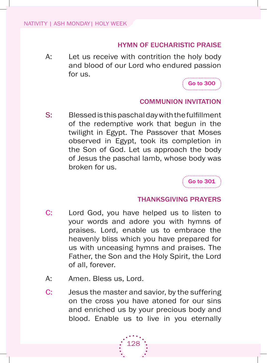# hYMn oF euchaRistic pRaise

A: Let us receive with contrition the holy body and blood of our lord who endured passion for us.



# coMMunion inVitation

s: Blessed is this paschal day with the fulfillment of the redemptive work that begun in the twilight in Egypt. The Passover that Moses observed in Egypt, took its completion in the son of god. let us approach the body of Jesus the paschal lamb, whose body was broken for us.

Go to 301

# thanksGiVinG pRaYeRs

- C: Lord God, you have helped us to listen to your words and adore you with hymns of praises. lord, enable us to embrace the heavenly bliss which you have prepared for us with unceasing hymns and praises. The Father, the Son and the Holy Spirit, the Lord of all, forever.
- A: Amen. Bless us, Lord.
- C: Jesus the master and savior, by the suffering on the cross you have atoned for our sins and enriched us by your precious body and blood. Enable us to live in you eternally